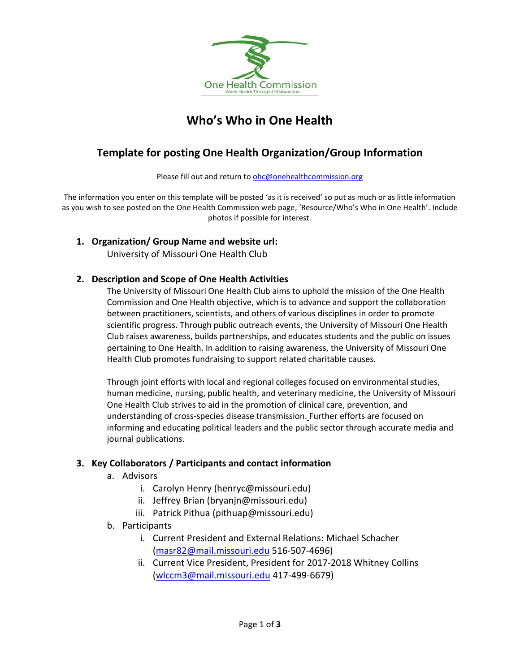

# **Who's Who in One Health**

# **Template for posting One Health Organization/Group Information**

Please fill out and return to [ohc@onehealthcommission.org](mailto:ohc@onehealthcommission.org)

The information you enter on this template will be posted 'as it is received' so put as much or as little information as you wish to see posted on the One Health Commission web page, 'Resource/Who's Who in One Health'. Include photos if possible for interest.

**1. Organization/ Group Name and website url:**

University of Missouri One Health Club

#### **2. Description and Scope of One Health Activities**

The University of Missouri One Health Club aims to uphold the mission of the One Health Commission and One Health objective, which is to advance and support the collaboration between practitioners, scientists, and others of various disciplines in order to promote scientific progress. Through public outreach events, the University of Missouri One Health Club raises awareness, builds partnerships, and educates students and the public on issues pertaining to One Health. In addition to raising awareness, the University of Missouri One Health Club promotes fundraising to support related charitable causes.

Through joint efforts with local and regional colleges focused on environmental studies, human medicine, nursing, public health, and veterinary medicine, the University of Missouri One Health Club strives to aid in the promotion of clinical care, prevention, and understanding of cross-species disease transmission. Further efforts are focused on informing and educating political leaders and the public sector through accurate media and journal publications.

#### **3. Key Collaborators / Participants and contact information**

- a. Advisors
	- i. Carolyn Henry (henryc@missouri.edu)
	- ii. Jeffrey Brian (bryanjn@missouri.edu)
	- iii. Patrick Pithua (pithuap@missouri.edu)
- b. Participants
	- i. Current President and External Relations: Michael Schacher [\(masr82@mail.missouri.edu](mailto:masr82@mail.missouri.edu) 516-507-4696)
	- ii. Current Vice President, President for 2017-2018 Whitney Collins [\(wlccm3@mail.missouri.edu](mailto:wlccm3@mail.missouri.edu) 417-499-6679)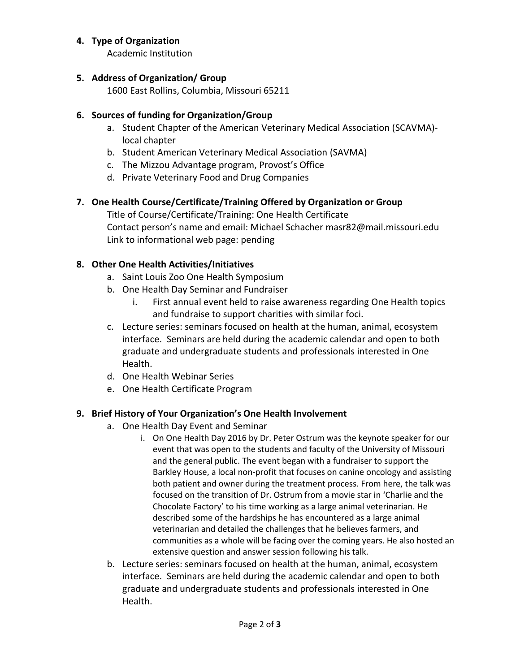#### **4. Type of Organization**

Academic Institution

# **5. Address of Organization/ Group**

1600 East Rollins, Columbia, Missouri 65211

# **6. Sources of funding for Organization/Group**

- a. Student Chapter of the American Veterinary Medical Association (SCAVMA) local chapter
- b. Student American Veterinary Medical Association (SAVMA)
- c. The Mizzou Advantage program, Provost's Office
- d. Private Veterinary Food and Drug Companies

# **7. One Health Course/Certificate/Training Offered by Organization or Group**

Title of Course/Certificate/Training: One Health Certificate Contact person's name and email: Michael Schacher masr82@mail.missouri.edu Link to informational web page: pending

# **8. Other One Health Activities/Initiatives**

- a. Saint Louis Zoo One Health Symposium
- b. One Health Day Seminar and Fundraiser
	- i. First annual event held to raise awareness regarding One Health topics and fundraise to support charities with similar foci.
- c. Lecture series: seminars focused on health at the human, animal, ecosystem interface. Seminars are held during the academic calendar and open to both graduate and undergraduate students and professionals interested in One Health.
- d. One Health Webinar Series
- e. One Health Certificate Program

#### **9. Brief History of Your Organization's One Health Involvement**

- a. One Health Day Event and Seminar
	- i. On One Health Day 2016 by Dr. Peter Ostrum was the keynote speaker for our event that was open to the students and faculty of the University of Missouri and the general public. The event began with a fundraiser to support the Barkley House, a local non-profit that focuses on canine oncology and assisting both patient and owner during the treatment process. From here, the talk was focused on the transition of Dr. Ostrum from a movie star in 'Charlie and the Chocolate Factory' to his time working as a large animal veterinarian. He described some of the hardships he has encountered as a large animal veterinarian and detailed the challenges that he believes farmers, and communities as a whole will be facing over the coming years. He also hosted an extensive question and answer session following his talk.
- b. Lecture series: seminars focused on health at the human, animal, ecosystem interface. Seminars are held during the academic calendar and open to both graduate and undergraduate students and professionals interested in One Health.